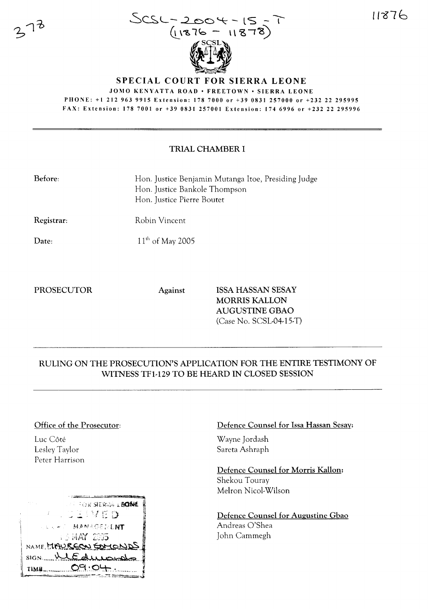11876



SPECIAL COURT **FOR** SIERRA LEONE

JOMO KENYATTA ROAD · FREETOWN · SIERRA LEONE

PHONE: +1 212 963 9915 Extension: 178 7000 or +39 0831257000 or +232 22 295995 FAX: Extension: 178 7001 or +39 0831257001 Extension: 174 6996 or +232 22 295996

### TRIAL CHAMBER I

| <b>Before:</b>    | Hon. Justice Benjamin Mutanga Itoe, Presiding Judge<br>Hon. Justice Bankole Thompson<br>Hon. Justice Pierre Boutet |
|-------------------|--------------------------------------------------------------------------------------------------------------------|
| <b>Registrar:</b> | Robin Vincent                                                                                                      |
| Date:             | $11^{th}$ of May 2005                                                                                              |

Date:

 $,73$ 

PROSECUTOR Against ISSA HASSAN SESAY MORRIS KALLON AUGUSTINE GBAO (Case No. SCSL-04-15-T)

# RULING ON THE PROSECUTION'S APPLICATION FOR THE ENTIRE TESTIMONY OF WITNESS TFl-129 TO BE HEARD IN CLOSED SESSION

#### Office of the Prosecutor:

Luc Côté Lesley Taylor Peter Harrison



#### Defence Counsel for Issa Hassan Sesay:

Wayne Jordash Sareta Ashraph

Defence Counsel for Morris Kallon: Shekou Touray Melron Nicol-Wilson

Defence Counsel for Augustine Gbao Andreas O'Shea John Cammegh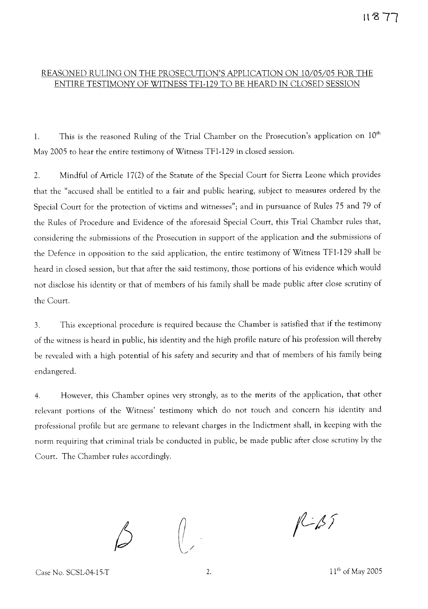# **Il"871**

## REASONED RULING ON THE PROSECUTION'S APPLICATION ON 10/05/05 FOR THE ENTIRE TESTIMONY OF WITNESS TFl-129 TO BE HEARD IN CLOSED SESSION

1. This is the reasoned Ruling of the Trial Chamber on the Prosecution's application on  $10<sup>th</sup>$ May 2005 to hear the entire testimony of Witness TFl-129 in closed session.

2. Mindful of Article 17(2) of the Statute of the Special Court for Sierra Leone which provides that the "accused shall be entitled to a fair and public hearing, subject to measures ordered by the Special Court for the protection of victims and witnesses"; and in pursuance of Rules 75 and 79 of the Rules of Procedure and Evidence of the aforesaid Special Court, this Trial Chamber rules that, considering the submissions of the Prosecution in support of the application and the submissions of the Defence in opposition to the said application, the entire testimony of Witness TFl-129 shall be heard in closed session, but that after the said testimony, those portions of his evidence which would not disclose his identity or that of members of his family shall be made public after close scrutiny of the Court.

3. This exceptional procedure is required because the Chamber is satisfied that if the testimony of the witness is heard in public, his identity and the high profile nature of his profession will thereby be revealed with a high potential of his safety and security and that of members of his family being endangered.

4. However, this Chamber opines very strongly, as to the merits of the application, that other relevant portions of the Witness' testimony which do not touch and concern his identity and professional profile but are germane to relevant charges in the Indictment shall, in keeping with the norm requiring that criminal trials be conducted in public, be made public after close scrutiny by the Court. The Chamber rules accordingly.

 $1157$ 

Case No. SCSL-04-15-T 2. 2. 11<sup>th</sup> of May 2005